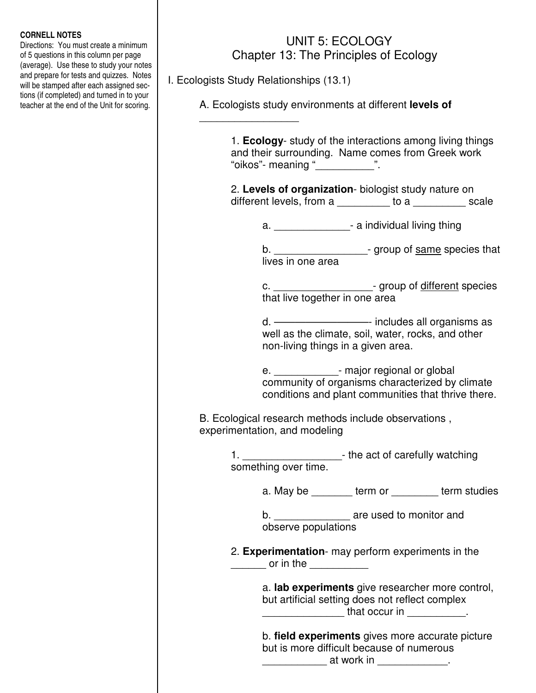## **CORNELL NOTES**

Directions: You must create a minimum of 5 questions in this column per page (average). Use these to study your notes and prepare for tests and quizzes. Notes will be stamped after each assigned sections (if completed) and turned in to your teacher at the end of the Unit for scoring.

## UNIT 5: ECOLOGY Chapter 13: The Principles of Ecology

I. Ecologists Study Relationships (13.1)

\_\_\_\_\_\_\_\_\_\_\_\_\_\_\_\_\_

A. Ecologists study environments at different **levels of** 

| 1. Ecology- study of the interactions among living things<br>and their surrounding. Name comes from Greek work<br>"oikos"- meaning " <b>_____________</b> ". |                                                                                                                                                        |                                                                                                                                                                                                                                                                                                                                                                                                                   |  |  |
|--------------------------------------------------------------------------------------------------------------------------------------------------------------|--------------------------------------------------------------------------------------------------------------------------------------------------------|-------------------------------------------------------------------------------------------------------------------------------------------------------------------------------------------------------------------------------------------------------------------------------------------------------------------------------------------------------------------------------------------------------------------|--|--|
| 2. Levels of organization- biologist study nature on<br>different levels, from a __________ to a __________ scale                                            |                                                                                                                                                        |                                                                                                                                                                                                                                                                                                                                                                                                                   |  |  |
|                                                                                                                                                              | a. __________________- a individual living thing                                                                                                       |                                                                                                                                                                                                                                                                                                                                                                                                                   |  |  |
|                                                                                                                                                              | b. _______________________- group of same species that<br>lives in one area                                                                            |                                                                                                                                                                                                                                                                                                                                                                                                                   |  |  |
|                                                                                                                                                              | c. ____________________- group of different species<br>that live together in one area                                                                  |                                                                                                                                                                                                                                                                                                                                                                                                                   |  |  |
|                                                                                                                                                              | well as the climate, soil, water, rocks, and other<br>non-living things in a given area.                                                               |                                                                                                                                                                                                                                                                                                                                                                                                                   |  |  |
|                                                                                                                                                              | e. _______________- major regional or global<br>community of organisms characterized by climate<br>conditions and plant communities that thrive there. |                                                                                                                                                                                                                                                                                                                                                                                                                   |  |  |
| B. Ecological research methods include observations,<br>experimentation, and modeling                                                                        |                                                                                                                                                        |                                                                                                                                                                                                                                                                                                                                                                                                                   |  |  |
| 1. _______________________- the act of carefully watching<br>something over time.                                                                            |                                                                                                                                                        |                                                                                                                                                                                                                                                                                                                                                                                                                   |  |  |
|                                                                                                                                                              | a. May be ________ term or ________ term studies                                                                                                       |                                                                                                                                                                                                                                                                                                                                                                                                                   |  |  |
|                                                                                                                                                              | b. __________________ are used to monitor and<br>observe populations                                                                                   |                                                                                                                                                                                                                                                                                                                                                                                                                   |  |  |
| 2. Experimentation- may perform experiments in the<br>or in the $\_\_$                                                                                       |                                                                                                                                                        |                                                                                                                                                                                                                                                                                                                                                                                                                   |  |  |
|                                                                                                                                                              | a. lab experiments give researcher more control,<br>but artificial setting does not reflect complex                                                    | $\frac{1}{\sqrt{1-\frac{1}{2}}}\frac{1}{\sqrt{1-\frac{1}{2}}}\left(1-\frac{1}{2}\right)$ that occur in $\frac{1}{\sqrt{1-\frac{1}{2}}}\frac{1}{\sqrt{1-\frac{1}{2}}}\frac{1}{\sqrt{1-\frac{1}{2}}}\frac{1}{\sqrt{1-\frac{1}{2}}}\frac{1}{\sqrt{1-\frac{1}{2}}}\frac{1}{\sqrt{1-\frac{1}{2}}}\frac{1}{\sqrt{1-\frac{1}{2}}}\frac{1}{\sqrt{1-\frac{1}{2}}}\frac{1}{\sqrt{1-\frac{1}{2}}}\frac{1}{\sqrt{1-\frac{1}{$ |  |  |
|                                                                                                                                                              | b. field experiments gives more accurate picture<br>but is more difficult because of numerous                                                          | at work in ______________.                                                                                                                                                                                                                                                                                                                                                                                        |  |  |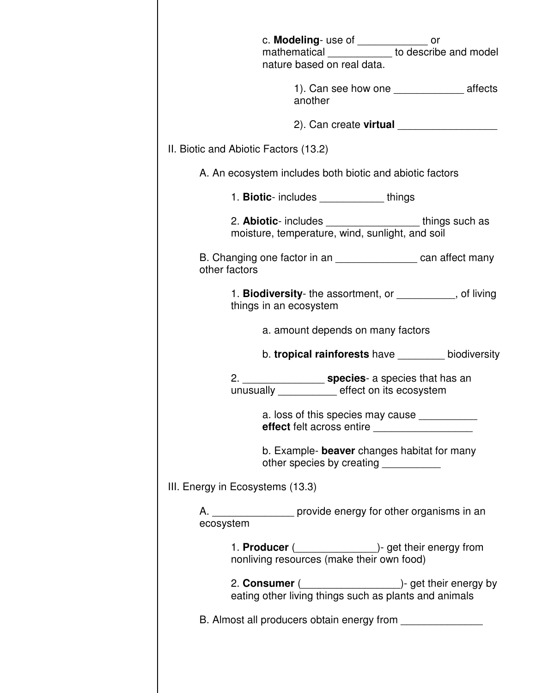| c. <b>Modeling</b> - use of ___________ or<br>mathematical ___________ to describe and model<br>nature based on real data. |  |  |  |  |
|----------------------------------------------------------------------------------------------------------------------------|--|--|--|--|
| 1). Can see how one ______________________ affects<br>another                                                              |  |  |  |  |
| 2). Can create <b>virtual</b>                                                                                              |  |  |  |  |
| II. Biotic and Abiotic Factors (13.2)                                                                                      |  |  |  |  |
| A. An ecosystem includes both biotic and abiotic factors                                                                   |  |  |  |  |
| 1. Biotic-includes ____________things                                                                                      |  |  |  |  |
| 2. Abiotic- includes _____________________things such as<br>moisture, temperature, wind, sunlight, and soil                |  |  |  |  |
| B. Changing one factor in an ___________________ can affect many<br>other factors                                          |  |  |  |  |
| 1. Biodiversity-the assortment, or __________, of living<br>things in an ecosystem                                         |  |  |  |  |
| a. amount depends on many factors                                                                                          |  |  |  |  |
| b. tropical rainforests have _______ biodiversity                                                                          |  |  |  |  |
|                                                                                                                            |  |  |  |  |
| 2. ______________________ species- a species that has an<br>unusually ___________ effect on its ecosystem                  |  |  |  |  |
| a. loss of this species may cause<br>effect felt across entire ____________________                                        |  |  |  |  |
| b. Example- beaver changes habitat for many<br>other species by creating ___________                                       |  |  |  |  |
| III. Energy in Ecosystems (13.3)                                                                                           |  |  |  |  |
| A. ___________________ provide energy for other organisms in an<br>ecosystem                                               |  |  |  |  |
| nonliving resources (make their own food)                                                                                  |  |  |  |  |
| 2. <b>Consumer</b> ( <i>ieureranacy</i> )- get their energy by eating other living things such as plants and animals       |  |  |  |  |
| B. Almost all producers obtain energy from ________________                                                                |  |  |  |  |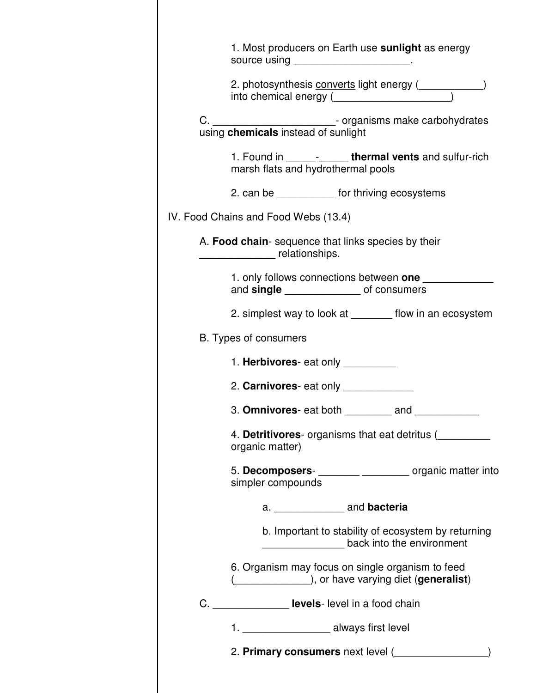| 1. Most producers on Earth use sunlight as energy<br>source using _______________________.                                                                                                                                                                                                                  |
|-------------------------------------------------------------------------------------------------------------------------------------------------------------------------------------------------------------------------------------------------------------------------------------------------------------|
| 2. photosynthesis converts light energy ( <u>[</u> [[[[[Constant]]]<br>into chemical energy ( <b>witter and interface and interface and interface and interface and interface and interface and interface and interface and interface and interface and interface and interface and interface and inter</b> |
| C. ___________________________- organisms make carbohydrates using chemicals instead of sunlight                                                                                                                                                                                                            |
| 1. Found in _________________ thermal vents and sulfur-rich<br>marsh flats and hydrothermal pools                                                                                                                                                                                                           |
| 2. can be _____________ for thriving ecosystems                                                                                                                                                                                                                                                             |
| IV. Food Chains and Food Webs (13.4)                                                                                                                                                                                                                                                                        |
| A. Food chain- sequence that links species by their<br><b>COLLEGE CONTINUES</b> relationships.                                                                                                                                                                                                              |
| and single __________________ of consumers                                                                                                                                                                                                                                                                  |
| 2. simplest way to look at ________ flow in an ecosystem                                                                                                                                                                                                                                                    |
| B. Types of consumers                                                                                                                                                                                                                                                                                       |
| 1. Herbivores-eat only                                                                                                                                                                                                                                                                                      |
| 2. Carnivores-eat only                                                                                                                                                                                                                                                                                      |
| 3. Omnivores-eat both _________ and                                                                                                                                                                                                                                                                         |
| 4. Detritivores- organisms that eat detritus (<br>organic matter)                                                                                                                                                                                                                                           |
| 5. Decomposers- <b>_______</b> _______ organic matter into<br>simpler compounds                                                                                                                                                                                                                             |
|                                                                                                                                                                                                                                                                                                             |
| b. Important to stability of ecosystem by returning<br>back into the environment                                                                                                                                                                                                                            |
| 6. Organism may focus on single organism to feed                                                                                                                                                                                                                                                            |
| C. __________________ levels-level in a food chain                                                                                                                                                                                                                                                          |
| 1. _______________________ always first level                                                                                                                                                                                                                                                               |
|                                                                                                                                                                                                                                                                                                             |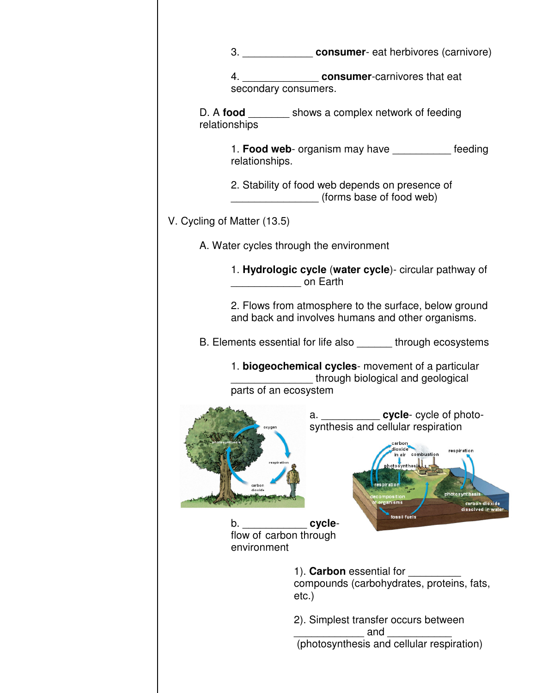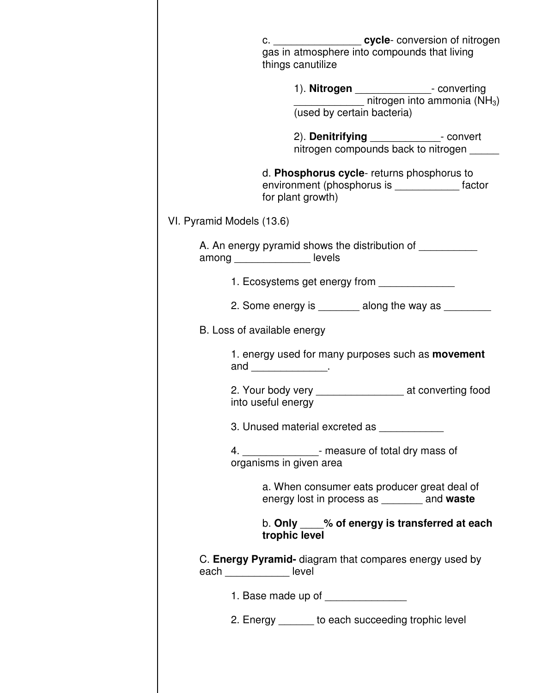| things canutilize                                                                           | c. ______________________cycle-conversion of nitrogen gas in atmosphere into compounds that living                                  |  |  |  |
|---------------------------------------------------------------------------------------------|-------------------------------------------------------------------------------------------------------------------------------------|--|--|--|
|                                                                                             | 1). Nitrogen _______________- converting<br>________________ nitrogen into ammonia (NH <sub>3</sub> )<br>(used by certain bacteria) |  |  |  |
|                                                                                             | 2). Denitrifying ______________- convert<br>nitrogen compounds back to nitrogen                                                     |  |  |  |
| for plant growth)                                                                           | d. Phosphorus cycle- returns phosphorus to<br>environment (phosphorus is _____________ factor                                       |  |  |  |
| VI. Pyramid Models (13.6)                                                                   |                                                                                                                                     |  |  |  |
| A. An energy pyramid shows the distribution of ____________<br>among _______________ levels |                                                                                                                                     |  |  |  |
| 1. Ecosystems get energy from                                                               |                                                                                                                                     |  |  |  |
| 2. Some energy is _________ along the way as _____                                          |                                                                                                                                     |  |  |  |
| B. Loss of available energy                                                                 |                                                                                                                                     |  |  |  |
| and __________________.                                                                     | 1. energy used for many purposes such as movement                                                                                   |  |  |  |
| into useful energy                                                                          | 2. Your body very _________________________ at converting food                                                                      |  |  |  |
| 3. Unused material excreted as _____________                                                |                                                                                                                                     |  |  |  |
| organisms in given area                                                                     | 4. __________________- measure of total dry mass of                                                                                 |  |  |  |
|                                                                                             | a. When consumer eats producer great deal of<br>energy lost in process as _______ and waste                                         |  |  |  |
| trophic level                                                                               | b. Only ____% of energy is transferred at each                                                                                      |  |  |  |
| C. Energy Pyramid- diagram that compares energy used by<br>each ____________ level          |                                                                                                                                     |  |  |  |
| 1. Base made up of ________________                                                         |                                                                                                                                     |  |  |  |
|                                                                                             | 2. Energy ______ to each succeeding trophic level                                                                                   |  |  |  |
|                                                                                             |                                                                                                                                     |  |  |  |